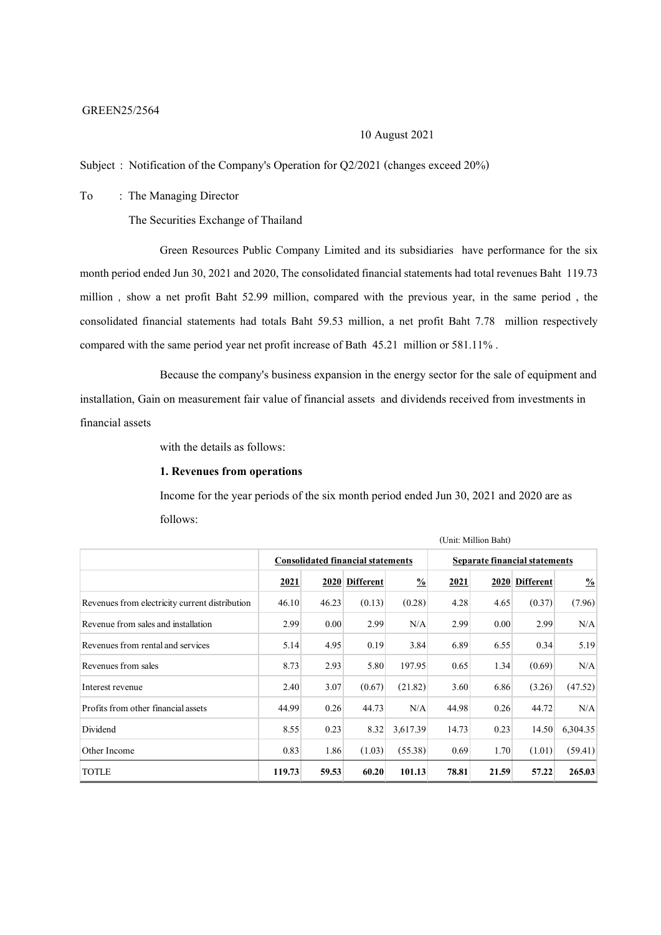#### GREEN25/2564

# 10 August2021

Subject : Notification of the Company's Operation for Q2/2021 (changes exceed 20%)

To : The Managing Director

The Securities Exchange of Thailand

Green Resources Public Company Limited and its subsidiaries have performance for the six month period ended Jun 30, 2021 and 2020, The consolidated financial statements had total revenues Baht 119.73 million , show a net profit Baht 52.99 million, compared with the previous year, in the same period , the consolidated financial statements had totals Baht 59.53 million, a net profit Baht 7.78 million respectively compared with the same period year net profit increase of Bath 45.21 million or 581.11% .

Because the company's business expansion in the energy sector for the sale of equipment and installation, Gain on measurement fair value of financial assets and dividends received from investments in financial assets

with the details as follows:

# **1. Revenues from operations**

Income for the year periods of the six month period ended Jun 30, 2021 and 2020 are as follows:

|                                                | $\overline{\mathcal{L}}$                 |       |                  |               |                               |       |                |               |
|------------------------------------------------|------------------------------------------|-------|------------------|---------------|-------------------------------|-------|----------------|---------------|
|                                                | <b>Consolidated financial statements</b> |       |                  |               | Separate financial statements |       |                |               |
|                                                | 2021                                     | 2020  | <b>Different</b> | $\frac{0}{0}$ | 2021                          |       | 2020 Different | $\frac{0}{0}$ |
| Revenues from electricity current distribution | 46.10                                    | 46.23 | (0.13)           | (0.28)        | 4.28                          | 4.65  | (0.37)         | (7.96)        |
| Revenue from sales and installation            | 2.99                                     | 0.00  | 2.99             | N/A           | 2.99                          | 0.00  | 2.99           | N/A           |
| Revenues from rental and services              | 5.14                                     | 4.95  | 0.19             | 3.84          | 6.89                          | 6.55  | 0.34           | 5.19          |
| Revenues from sales                            | 8.73                                     | 2.93  | 5.80             | 197.95        | 0.65                          | 1.34  | (0.69)         | N/A           |
| Interest revenue                               | 2.40                                     | 3.07  | (0.67)           | (21.82)       | 3.60                          | 6.86  | (3.26)         | (47.52)       |
| Profits from other financial assets            | 44.99                                    | 0.26  | 44.73            | N/A           | 44.98                         | 0.26  | 44.72          | N/A           |
| Dividend                                       | 8.55                                     | 0.23  | 8.32             | 3,617.39      | 14.73                         | 0.23  | 14.50          | 6,304.35      |
| Other Income                                   | 0.83                                     | 1.86  | (1.03)           | (55.38)       | 0.69                          | 1.70  | (1.01)         | (59.41)       |
| <b>TOTLE</b>                                   | 119.73                                   | 59.53 | 60.20            | 101.13        | 78.81                         | 21.59 | 57.22          | 265.03        |

(Unit: Million Baht)